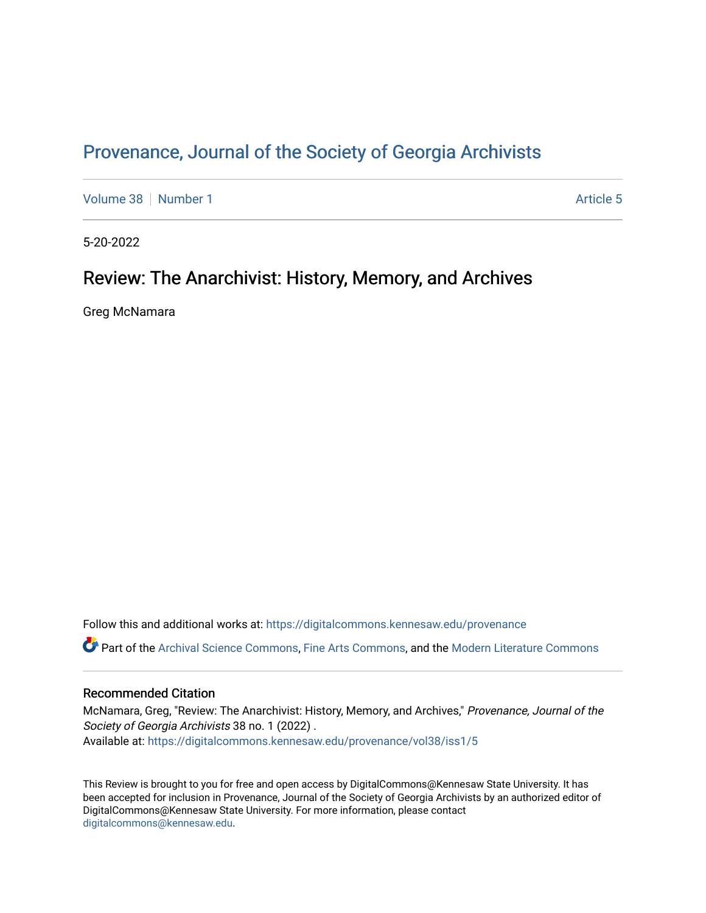## Provenance, Journal of the Society of Georgia Archivists

[Volume 38](https://digitalcommons.kennesaw.edu/provenance/vol38) [Number 1](https://digitalcommons.kennesaw.edu/provenance/vol38/iss1) [Article 5](https://digitalcommons.kennesaw.edu/provenance/vol38/iss1/5) Article 5

5-20-2022

## Review: The Anarchivist: History, Memory, and Archives

Greg McNamara

Follow this and additional works at: [https://digitalcommons.kennesaw.edu/provenance](https://digitalcommons.kennesaw.edu/provenance?utm_source=digitalcommons.kennesaw.edu%2Fprovenance%2Fvol38%2Fiss1%2F5&utm_medium=PDF&utm_campaign=PDFCoverPages) 

Part of the [Archival Science Commons,](https://network.bepress.com/hgg/discipline/1021?utm_source=digitalcommons.kennesaw.edu%2Fprovenance%2Fvol38%2Fiss1%2F5&utm_medium=PDF&utm_campaign=PDFCoverPages) [Fine Arts Commons,](https://network.bepress.com/hgg/discipline/1141?utm_source=digitalcommons.kennesaw.edu%2Fprovenance%2Fvol38%2Fiss1%2F5&utm_medium=PDF&utm_campaign=PDFCoverPages) and the [Modern Literature Commons](https://network.bepress.com/hgg/discipline/1050?utm_source=digitalcommons.kennesaw.edu%2Fprovenance%2Fvol38%2Fiss1%2F5&utm_medium=PDF&utm_campaign=PDFCoverPages)

## Recommended Citation

McNamara, Greg, "Review: The Anarchivist: History, Memory, and Archives," Provenance, Journal of the Society of Georgia Archivists 38 no. 1 (2022). Available at: [https://digitalcommons.kennesaw.edu/provenance/vol38/iss1/5](https://digitalcommons.kennesaw.edu/provenance/vol38/iss1/5?utm_source=digitalcommons.kennesaw.edu%2Fprovenance%2Fvol38%2Fiss1%2F5&utm_medium=PDF&utm_campaign=PDFCoverPages) 

This Review is brought to you for free and open access by DigitalCommons@Kennesaw State University. It has been accepted for inclusion in Provenance, Journal of the Society of Georgia Archivists by an authorized editor of DigitalCommons@Kennesaw State University. For more information, please contact [digitalcommons@kennesaw.edu.](mailto:digitalcommons@kennesaw.edu)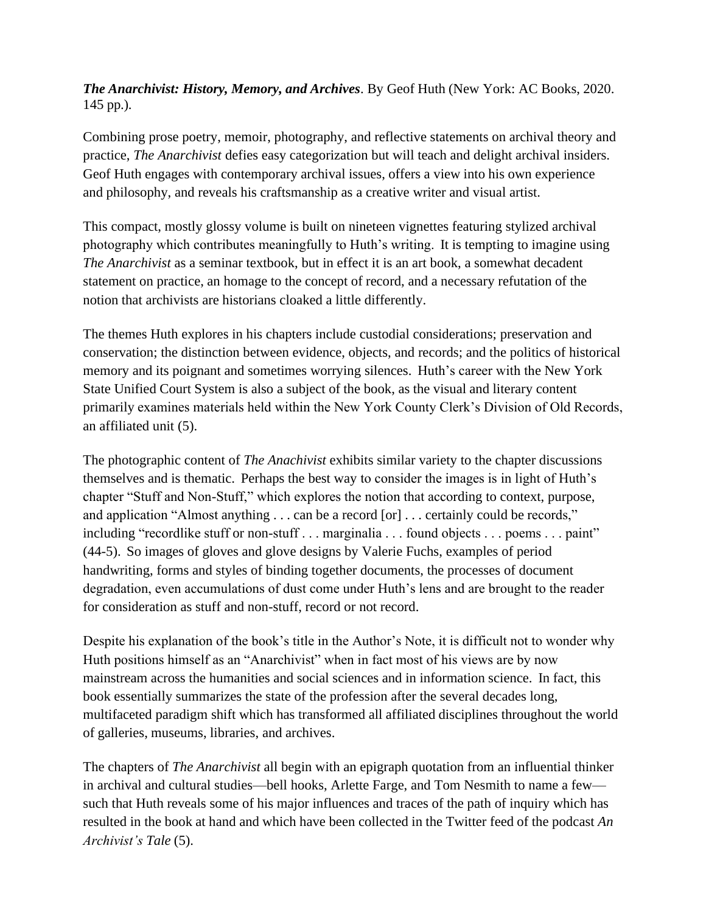*The Anarchivist: History, Memory, and Archives*. By Geof Huth (New York: AC Books, 2020. 145 pp.).

Combining prose poetry, memoir, photography, and reflective statements on archival theory and practice, *The Anarchivist* defies easy categorization but will teach and delight archival insiders. Geof Huth engages with contemporary archival issues, offers a view into his own experience and philosophy, and reveals his craftsmanship as a creative writer and visual artist.

This compact, mostly glossy volume is built on nineteen vignettes featuring stylized archival photography which contributes meaningfully to Huth's writing. It is tempting to imagine using *The Anarchivist* as a seminar textbook, but in effect it is an art book, a somewhat decadent statement on practice, an homage to the concept of record, and a necessary refutation of the notion that archivists are historians cloaked a little differently.

The themes Huth explores in his chapters include custodial considerations; preservation and conservation; the distinction between evidence, objects, and records; and the politics of historical memory and its poignant and sometimes worrying silences. Huth's career with the New York State Unified Court System is also a subject of the book, as the visual and literary content primarily examines materials held within the New York County Clerk's Division of Old Records, an affiliated unit (5).

The photographic content of *The Anachivist* exhibits similar variety to the chapter discussions themselves and is thematic. Perhaps the best way to consider the images is in light of Huth's chapter "Stuff and Non-Stuff," which explores the notion that according to context, purpose, and application "Almost anything . . . can be a record [or] . . . certainly could be records," including "recordlike stuff or non-stuff . . . marginalia . . . found objects . . . poems . . . paint" (44-5). So images of gloves and glove designs by Valerie Fuchs, examples of period handwriting, forms and styles of binding together documents, the processes of document degradation, even accumulations of dust come under Huth's lens and are brought to the reader for consideration as stuff and non-stuff, record or not record.

Despite his explanation of the book's title in the Author's Note, it is difficult not to wonder why Huth positions himself as an "Anarchivist" when in fact most of his views are by now mainstream across the humanities and social sciences and in information science. In fact, this book essentially summarizes the state of the profession after the several decades long, multifaceted paradigm shift which has transformed all affiliated disciplines throughout the world of galleries, museums, libraries, and archives.

The chapters of *The Anarchivist* all begin with an epigraph quotation from an influential thinker in archival and cultural studies—bell hooks, Arlette Farge, and Tom Nesmith to name a few such that Huth reveals some of his major influences and traces of the path of inquiry which has resulted in the book at hand and which have been collected in the Twitter feed of the podcast *An Archivist's Tale* (5).